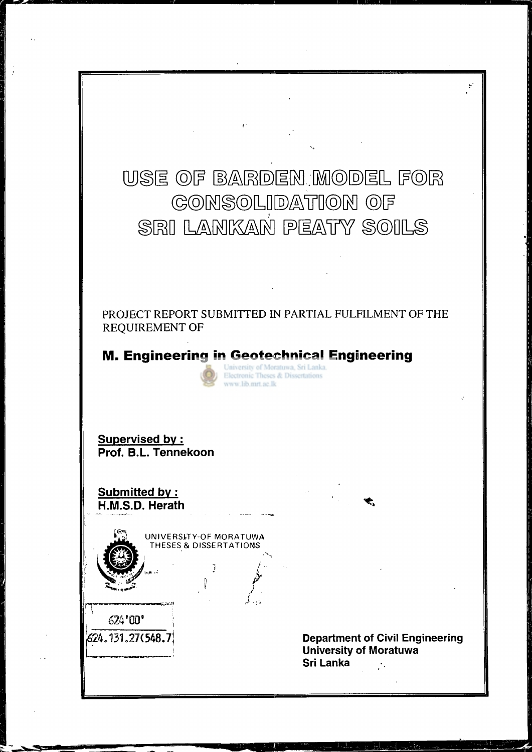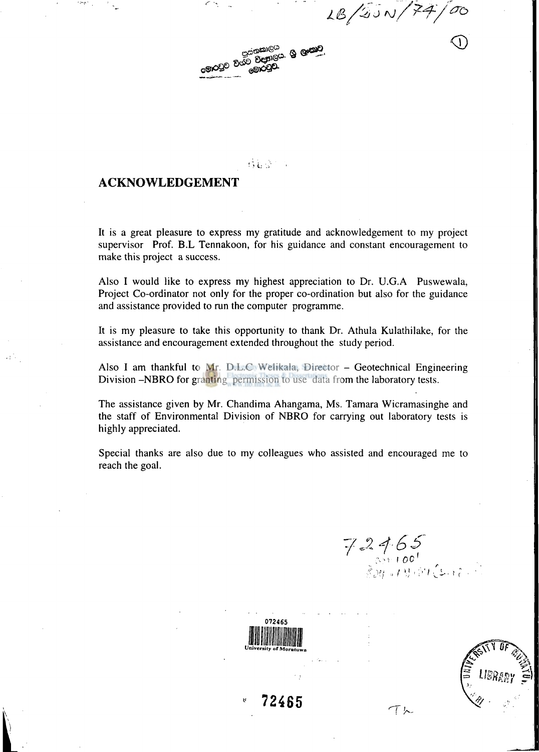$1B/25N/74/$ 



**的复数** 100

### **ACKNOWLEDGEMENT**

It is a great pleasure to express my gratitude and acknowledgement to my project supervisor Prof. B.L Tennakoon, for his guidance and constant encouragement to make this project a success.

Also I would like to express my highest appreciation to Dr. U.G.A Puswewala, Project Co-ordinator not only for the proper co-ordination but also for the guidance and assistance provided to run the computer programme.

It is my pleasure to take this opportunity to thank Dr. Athula Kulathilake, for the assistance and encouragement extended throughout the study period.

Also I am thankful to Mr. D.L.C. Welikala, Director - Geotechnical Engineering Division -NBRO for granting permission to use data from the laboratory tests.

The assistance given by Mr. Chandima Ahangama, Ms. Tamara Wicramasinghe and the staff of Environmental Division of NBRO for carrying out laboratory tests is highly appreciated.

Special thanks are also due to my colleagues who assisted and encouraged me to reach the goal.

 $72465$ 

てん



**• 72465** 

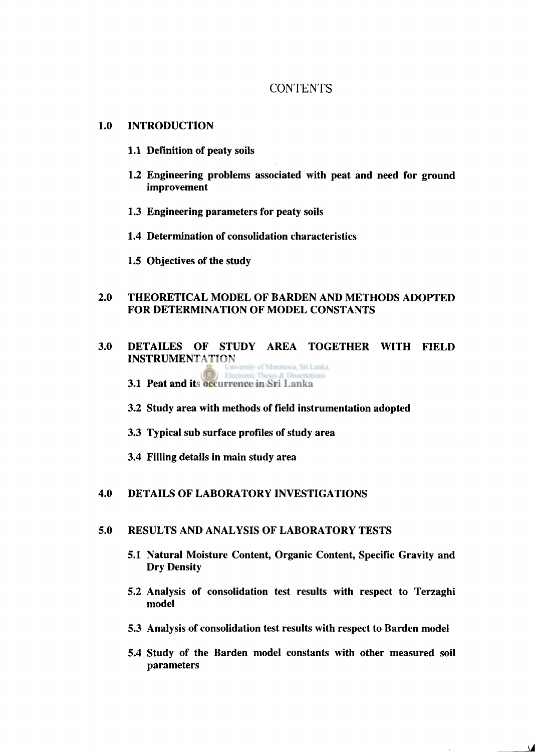# **CONTENTS**

#### **1.0 INTRODUCTION**

- **1.1 Definition of peaty soils**
- **1.2 Engineering problems associated with peat and need for ground improvement**
- **1.3 Engineering parameters for peaty soils**
- **1.4 Determination of consolidation characteristics**
- **1.5 Objectives of the study**

## **2.0 THEORETICAL MODEL OF BARDEN AND METHODS ADOPTED FOR DETERMINATION OF MODEL CONSTANTS**

- **3.0 DETAILES OF STUDY AREA TOGETHER WITH FIELD INSTRUMENTATION**<br>**Lanka University of Moratuwa, Sri Lanka** Electronic **3.1 Peat and its occurrence in Sri Lanka** 
	-
	- **3.2 Study area with methods of field instrumentation adopted**
	- **3.3 Typical sub surface profiles of study area**
	- **3.4 Filling details in main study area**

### **4.0 DETAILS OF LABORATORY INVESTIGATIONS**

#### **5.0 RESULTS AND ANALYSIS OF LABORATORY TESTS**

- **5.1 Natural Moisture Content, Organic Content, Specific Gravity and Dry Density**
- **5.2 Analysis of consolidation test results with respect to Terzaghi model**
- **5.3 Analysis of consolidation test results with respect to Barden model**
- **5.4 Study of the Barden model constants with other measured soil parameters**